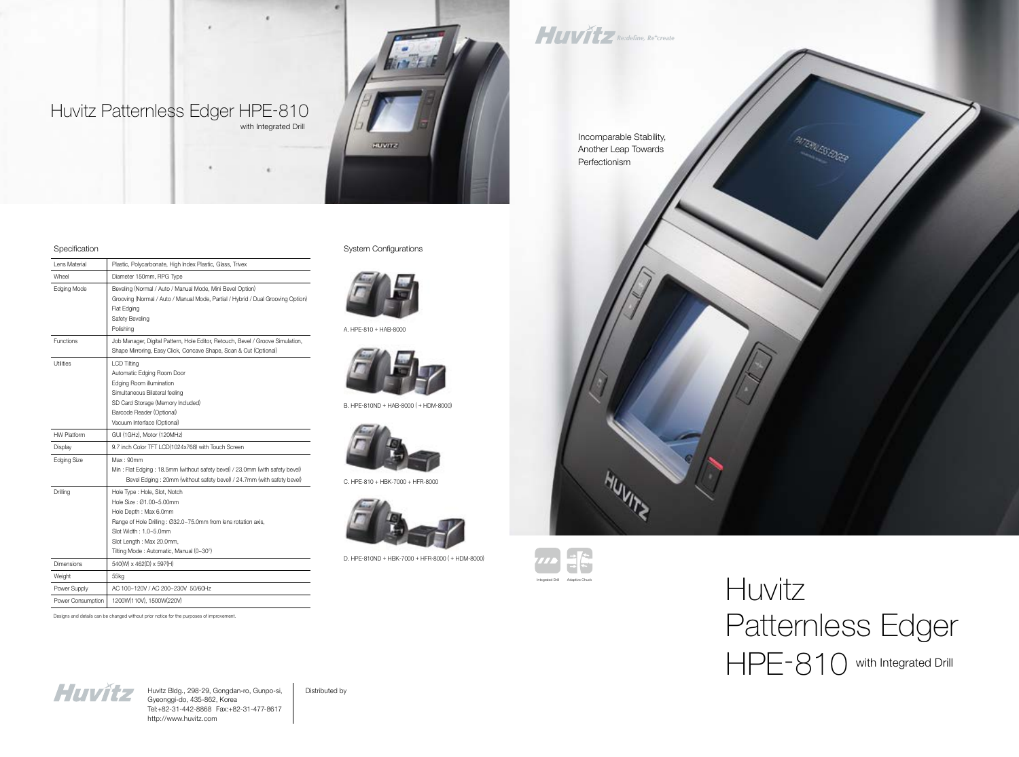Huvitz

# Patternless Edger HPE-810 with Integrated Drill



Incomparable Stability, Another Leap Towards Perfectionism

Huvitz Bldg., 298-29, Gongdan-ro, Gunpo-si, | Distributed by Gyeonggi-do, 435-862, Korea Tel:+82-31-442-8868 Fax:+82-31-477-8617 http://www.huvitz.com



#### Specification

Lens Material | Plastic, Polycarbonate, High Index Plastic, Glass, Trivex Wheel Diameter 150mm, RPG Type Edging Mode **Beveling (Normal / Auto / Manual Mode, Mini Bevel Option)** Grooving (Normal / Auto / Manual Mode, Partial / Hybrid / Dual Grooving Option) Flat Edging Safety Beveling Polishing Functions Job Manager, Digital Pattern, Hole Editor, Retouch, Bevel / Groove Simulation, Shape Mirroring, Easy Click, Concave Shape, Scan & Cut (Optional) Utilities LCD Tilting Automatic Edging Room Door Edging Room illumination Simultaneous Bilateral feeling SD Card Storage (Memory Included) Barcode Reader (Optional) Vacuum Interface (Optional) HW Platform GUI (1GHz), Motor (120MHz) Display 19.7 inch Color TFT LCD(1024x768) with Touch Screen Edging Size Max: 90mm Min : Flat Edging : 18.5mm (without safety bevel) / 23.0mm (with safety bevel) Bevel Edging : 20mm (without safety bevel) / 24.7mm (with safety bevel) Drilling Hole Type : Hole, Slot, Notch Hole Size : Ø1.00~5.00mm Hole Depth : Max 6.0mm Range of Hole Drilling : Ø32.0~75.0mm from lens rotation axis, Slot Width : 1.0~5.0mm Slot Length : Max 20.0mm, Tilting Mode : Automatic, Manual (0~30°) Dimensions 1540(W) x 462(D) x 597(H) Weight 55kg Power Supply AC 100~120V / AC 200~230V 50/60Hz Power Consumption 1200W(110V), 1500W(220V)

Designs and details can be changed without prior notice for the purposes of improvement.



System Configurations



D. HPE-810ND + HBK-7000 + HFR-8000 ( + HDM-8000)

C. HPE-810 + HBK-7000 + HFR-8000



B. HPE-810ND + HAB-8000 ( + HDM-8000)



A. HPE-810 + HAB-8000



HUVITZ Re:define, Re<sup>+</sup>create

## Huvitz Patternless Edger HPE-810

with Integrated Drill

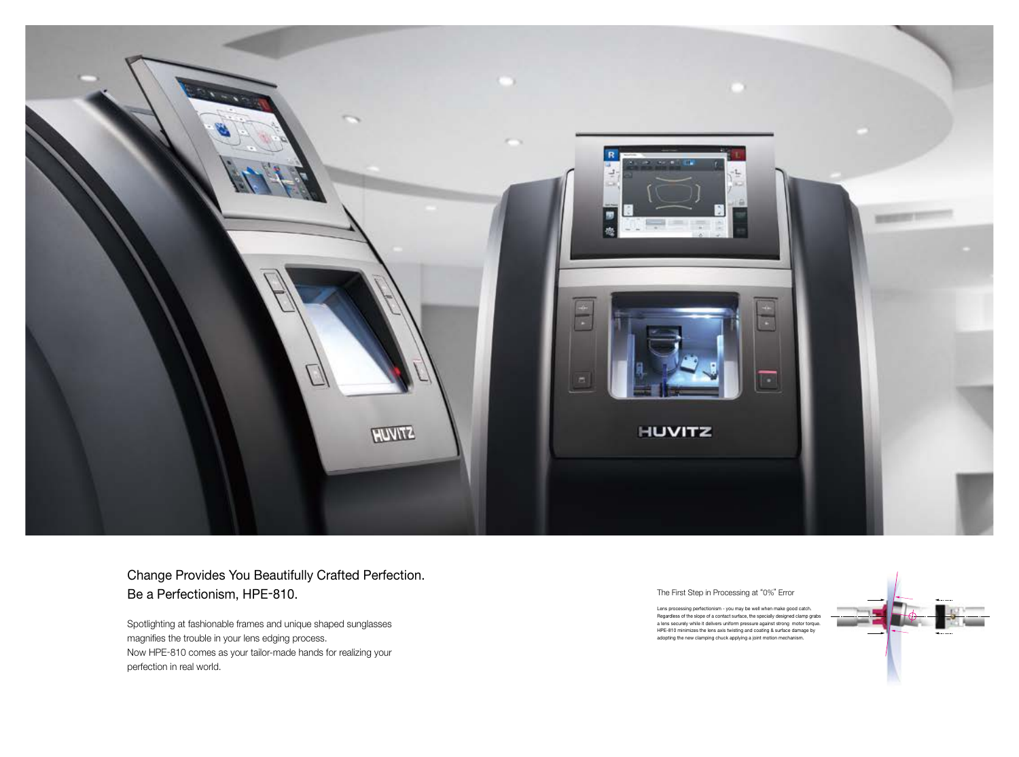

## Change Provides You Beautifully Crafted Perfection. Be a Perfectionism, HPE -810.

Spotlighting at fashionable frames and unique shaped sunglasses magnifies the trouble in your lens edging process. Now HPE -810 comes as your tailor-made hands for realizing your perfection in real world.

The First Step in Processing at "0% " Error

Lens processing perfectionism - you may be well when make good catch. Regardless of the slope of a contact surface, the specially designed clamp grabs a lens securely while it delivers uniform pressure against strong motor torque. HPE-810 minimizes the lens axis twisting and coating & surface damage by adopting the new clamping chuck applying a joint motion mechanism.

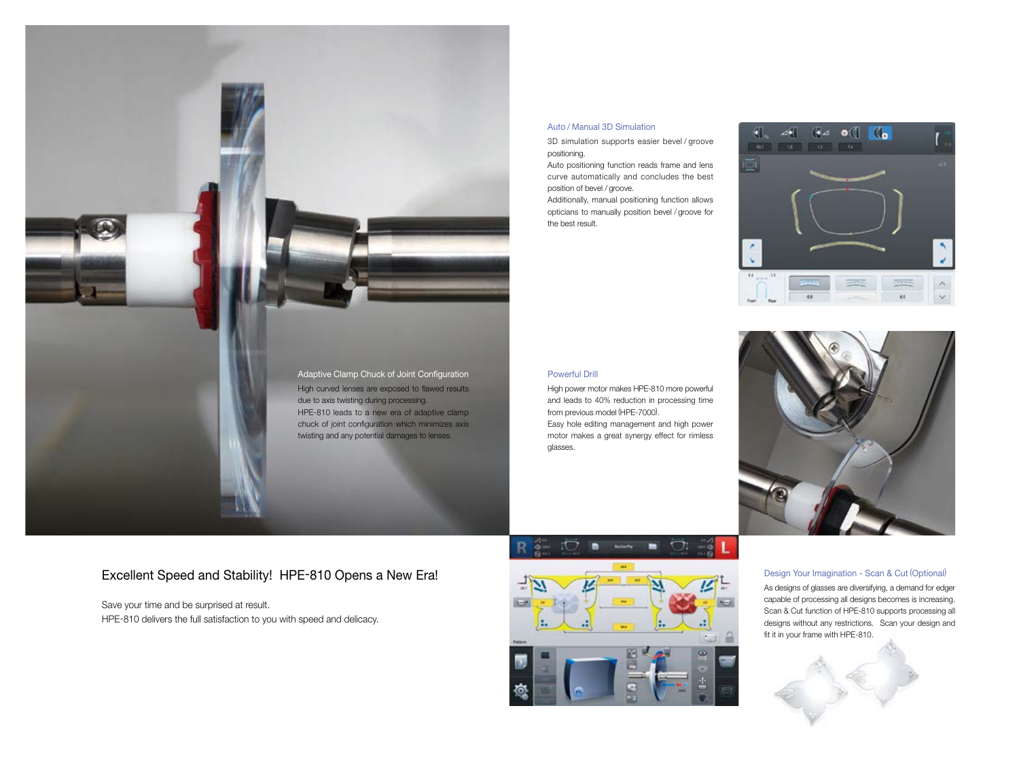

### Excellent Speed and Stability! HPE-810 Opens a New Era!

Save your time and be surprised at result. HPE-810 delivers the full satisfaction to you with speed and delicacy.



#### Auto / Manual 3D Simulation

3D simulation supports easier bevel / groove positioning.

Auto positioning function reads frame and lens curve automatically and concludes the best position of bevel / groove.

Additionally, manual positioning function allows opticians to manually position bevel / groove for the best result.



#### Powerful Drill

High power motor makes HPE-810 more powerful and leads to 40% reduction in processing time from previous model (HPE-7000).

Easy hole editing management and high power motor makes a great synergy effect for rimless



glasses.

#### Design Your Imagination - Scan & Cut (Optional)



As designs of glasses are diversifying, a demand for edger capable of processing all designs becomes is increasing. Scan & Cut function of HPE-810 supports processing all designs without any restrictions. Scan your design and fit it in your frame with HPE-810.